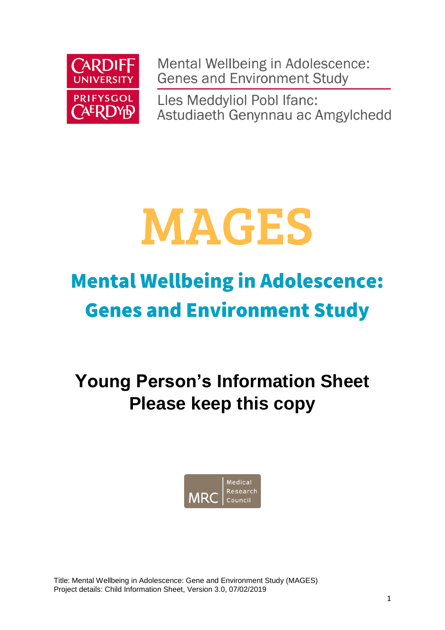

Mental Wellbeing in Adolescence: **Genes and Environment Study** 

Lles Meddyliol Pobl Ifanc: Astudiaeth Genynnau ac Amgylchedd

# **MAGES**

# **Mental Wellbeing in Adolescence: Genes and Environment Study**

**Young Person's Information Sheet Please keep this copy**



Title: Mental Wellbeing in Adolescence: Gene and Environment Study (MAGES) Project details: Child Information Sheet, Version 3.0, 07/02/2019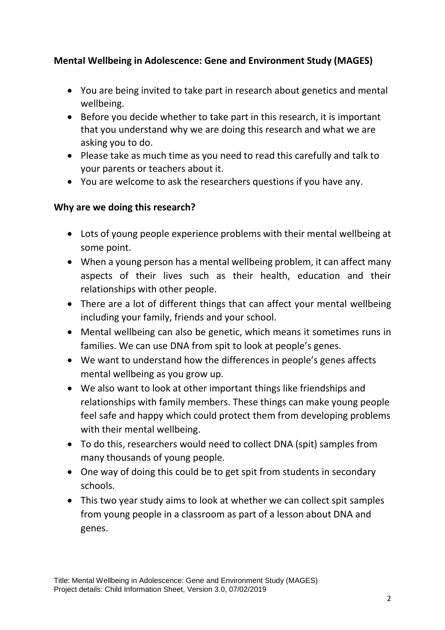# **MentaI Wellbeing in Adolescence: Gene and Environment Study (MAGES)**

- You are being invited to take part in research about genetics and mental wellbeing.
- Before you decide whether to take part in this research, it is important that you understand why we are doing this research and what we are asking you to do.
- Please take as much time as you need to read this carefully and talk to your parents or teachers about it.
- You are welcome to ask the researchers questions if you have any.

# **Why are we doing this research?**

- Lots of young people experience problems with their mental wellbeing at some point.
- When a young person has a mental wellbeing problem, it can affect many aspects of their lives such as their health, education and their relationships with other people.
- There are a lot of different things that can affect your mental wellbeing including your family, friends and your school.
- Mental wellbeing can also be genetic, which means it sometimes runs in families. We can use DNA from spit to look at people's genes.
- We want to understand how the differences in people's genes affects mental wellbeing as you grow up.
- We also want to look at other important things like friendships and relationships with family members. These things can make young people feel safe and happy which could protect them from developing problems with their mental wellbeing.
- To do this, researchers would need to collect DNA (spit) samples from many thousands of young people.
- One way of doing this could be to get spit from students in secondary schools.
- This two year study aims to look at whether we can collect spit samples from young people in a classroom as part of a lesson about DNA and genes.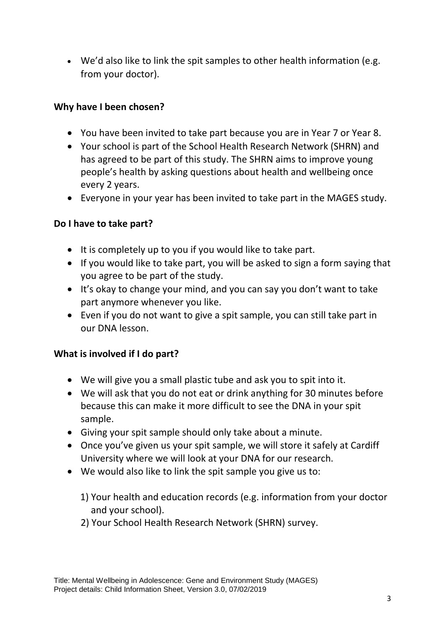We'd also like to link the spit samples to other health information (e.g. from your doctor).

# **Why have I been chosen?**

- You have been invited to take part because you are in Year 7 or Year 8.
- Your school is part of the School Health Research Network (SHRN) and has agreed to be part of this study. The SHRN aims to improve young people's health by asking questions about health and wellbeing once every 2 years.
- Everyone in your year has been invited to take part in the MAGES study.

### **Do I have to take part?**

- $\bullet$  It is completely up to you if you would like to take part.
- If you would like to take part, you will be asked to sign a form saying that you agree to be part of the study.
- It's okay to change your mind, and you can say you don't want to take part anymore whenever you like.
- Even if you do not want to give a spit sample, you can still take part in our DNA lesson.

### **What is involved if I do part?**

- We will give you a small plastic tube and ask you to spit into it.
- We will ask that you do not eat or drink anything for 30 minutes before because this can make it more difficult to see the DNA in your spit sample.
- Giving your spit sample should only take about a minute.
- Once you've given us your spit sample, we will store it safely at Cardiff University where we will look at your DNA for our research.
- We would also like to link the spit sample you give us to:
	- 1) Your health and education records (e.g. information from your doctor and your school).
	- 2) Your School Health Research Network (SHRN) survey.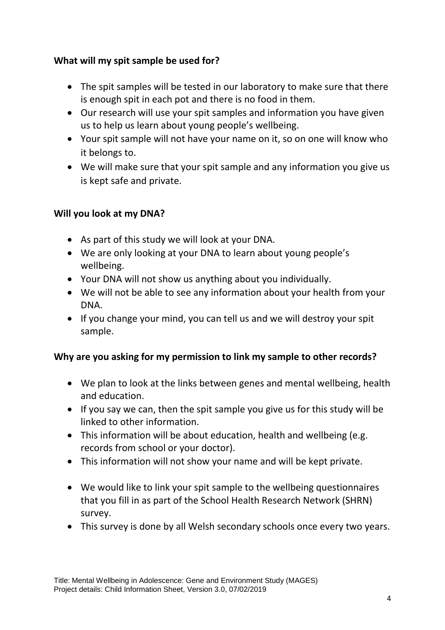# **What will my spit sample be used for?**

- The spit samples will be tested in our laboratory to make sure that there is enough spit in each pot and there is no food in them.
- Our research will use your spit samples and information you have given us to help us learn about young people's wellbeing.
- Your spit sample will not have your name on it, so on one will know who it belongs to.
- We will make sure that your spit sample and any information you give us is kept safe and private.

# **Will you look at my DNA?**

- As part of this study we will look at your DNA.
- We are only looking at your DNA to learn about young people's wellbeing.
- Your DNA will not show us anything about you individually.
- We will not be able to see any information about your health from your DNA.
- If you change your mind, you can tell us and we will destroy your spit sample.

# **Why are you asking for my permission to link my sample to other records?**

- We plan to look at the links between genes and mental wellbeing, health and education.
- $\bullet$  If you say we can, then the spit sample you give us for this study will be linked to other information.
- This information will be about education, health and wellbeing (e.g. records from school or your doctor).
- This information will not show your name and will be kept private.
- We would like to link your spit sample to the wellbeing questionnaires that you fill in as part of the School Health Research Network (SHRN) survey.
- This survey is done by all Welsh secondary schools once every two years.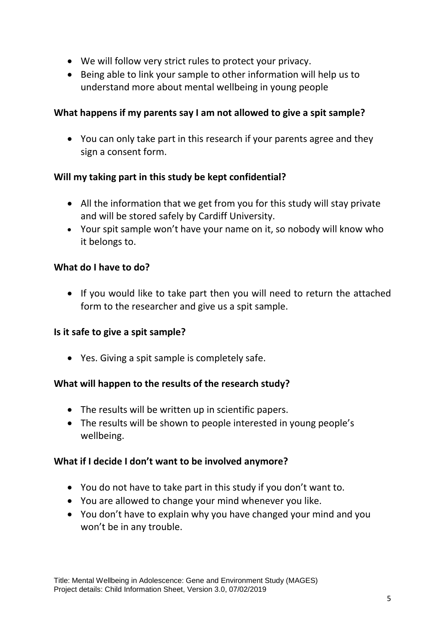- We will follow very strict rules to protect your privacy.
- Being able to link your sample to other information will help us to understand more about mental wellbeing in young people

## **What happens if my parents say I am not allowed to give a spit sample?**

 You can only take part in this research if your parents agree and they sign a consent form.

# **Will my taking part in this study be kept confidential?**

- All the information that we get from you for this study will stay private and will be stored safely by Cardiff University.
- Your spit sample won't have your name on it, so nobody will know who it belongs to.

# **What do I have to do?**

 If you would like to take part then you will need to return the attached form to the researcher and give us a spit sample.

### **Is it safe to give a spit sample?**

Yes. Giving a spit sample is completely safe.

### **What will happen to the results of the research study?**

- The results will be written up in scientific papers.
- The results will be shown to people interested in young people's wellbeing.

### **What if I decide I don't want to be involved anymore?**

- You do not have to take part in this study if you don't want to.
- You are allowed to change your mind whenever you like.
- You don't have to explain why you have changed your mind and you won't be in any trouble.